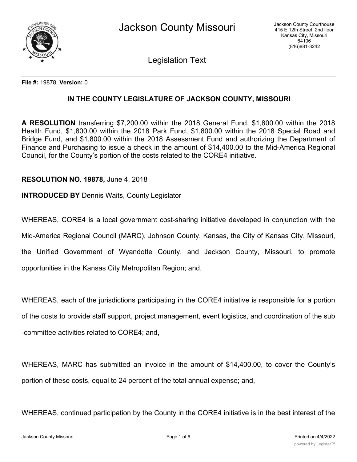

Legislation Text

**File #:** 19878, **Version:** 0

## **IN THE COUNTY LEGISLATURE OF JACKSON COUNTY, MISSOURI**

**A RESOLUTION** transferring \$7,200.00 within the 2018 General Fund, \$1,800.00 within the 2018 Health Fund, \$1,800.00 within the 2018 Park Fund, \$1,800.00 within the 2018 Special Road and Bridge Fund, and \$1,800.00 within the 2018 Assessment Fund and authorizing the Department of Finance and Purchasing to issue a check in the amount of \$14,400.00 to the Mid-America Regional Council, for the County's portion of the costs related to the CORE4 initiative.

## **RESOLUTION NO. 19878,** June 4, 2018

**INTRODUCED BY** Dennis Waits, County Legislator

WHEREAS, CORE4 is a local government cost-sharing initiative developed in conjunction with the Mid-America Regional Council (MARC), Johnson County, Kansas, the City of Kansas City, Missouri, the Unified Government of Wyandotte County, and Jackson County, Missouri, to promote opportunities in the Kansas City Metropolitan Region; and,

WHEREAS, each of the jurisdictions participating in the CORE4 initiative is responsible for a portion of the costs to provide staff support, project management, event logistics, and coordination of the sub -committee activities related to CORE4; and,

WHEREAS, MARC has submitted an invoice in the amount of \$14,400.00, to cover the County's portion of these costs, equal to 24 percent of the total annual expense; and,

WHEREAS, continued participation by the County in the CORE4 initiative is in the best interest of the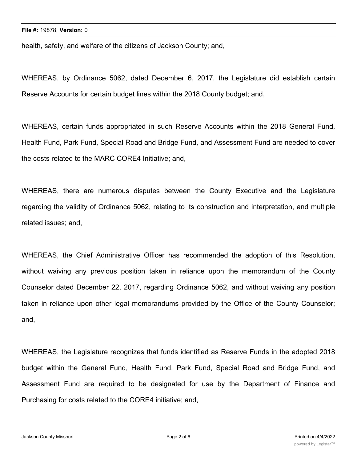health, safety, and welfare of the citizens of Jackson County; and,

WHEREAS, by Ordinance 5062, dated December 6, 2017, the Legislature did establish certain Reserve Accounts for certain budget lines within the 2018 County budget; and,

WHEREAS, certain funds appropriated in such Reserve Accounts within the 2018 General Fund, Health Fund, Park Fund, Special Road and Bridge Fund, and Assessment Fund are needed to cover the costs related to the MARC CORE4 Initiative; and,

WHEREAS, there are numerous disputes between the County Executive and the Legislature regarding the validity of Ordinance 5062, relating to its construction and interpretation, and multiple related issues; and,

WHEREAS, the Chief Administrative Officer has recommended the adoption of this Resolution, without waiving any previous position taken in reliance upon the memorandum of the County Counselor dated December 22, 2017, regarding Ordinance 5062, and without waiving any position taken in reliance upon other legal memorandums provided by the Office of the County Counselor; and,

WHEREAS, the Legislature recognizes that funds identified as Reserve Funds in the adopted 2018 budget within the General Fund, Health Fund, Park Fund, Special Road and Bridge Fund, and Assessment Fund are required to be designated for use by the Department of Finance and Purchasing for costs related to the CORE4 initiative; and,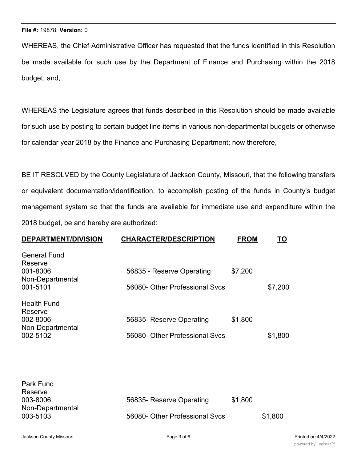WHEREAS, the Chief Administrative Officer has requested that the funds identified in this Resolution be made available for such use by the Department of Finance and Purchasing within the 2018 budget; and,

WHEREAS the Legislature agrees that funds described in this Resolution should be made available for such use by posting to certain budget line items in various non-departmental budgets or otherwise for calendar year 2018 by the Finance and Purchasing Department; now therefore,

BE IT RESOLVED by the County Legislature of Jackson County, Missouri, that the following transfers or equivalent documentation/identification, to accomplish posting of the funds in County's budget management system so that the funds are available for immediate use and expenditure within the 2018 budget, be and hereby are authorized:

| <b>DEPARTMENT/DIVISION</b>              | <b>CHARACTER/DESCRIPTION</b>   | <b>FROM</b> | TO      |
|-----------------------------------------|--------------------------------|-------------|---------|
| <b>General Fund</b><br>Reserve          |                                |             |         |
| 001-8006<br>Non-Departmental            | 56835 - Reserve Operating      | \$7,200     |         |
| 001-5101                                | 56080- Other Professional Sycs |             | \$7,200 |
| <b>Health Fund</b>                      |                                |             |         |
| Reserve<br>002-8006<br>Non-Departmental | 56835- Reserve Operating       | \$1,800     |         |
| 002-5102                                | 56080- Other Professional Svcs |             | \$1,800 |

| Park Fund        |                                |         |         |
|------------------|--------------------------------|---------|---------|
| Reserve          |                                |         |         |
| 003-8006         | 56835- Reserve Operating       | \$1,800 |         |
| Non-Departmental |                                |         |         |
| 003-5103         | 56080- Other Professional Svcs |         | \$1,800 |
|                  |                                |         |         |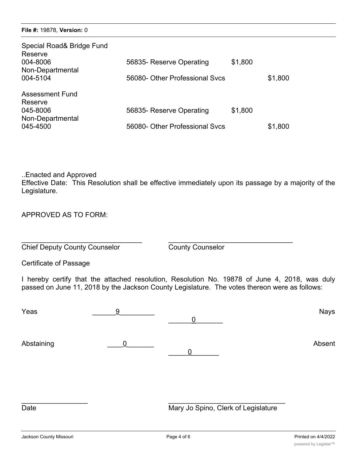| Special Road& Bridge Fund<br>Reserve<br>004-8006<br>Non-Departmental<br>004-5104 | 56835- Reserve Operating<br>56080- Other Professional Sycs | \$1,800 | \$1,800 |
|----------------------------------------------------------------------------------|------------------------------------------------------------|---------|---------|
| <b>Assessment Fund</b><br>Reserve<br>045-8006<br>Non-Departmental<br>045-4500    | 56835- Reserve Operating<br>56080- Other Professional Sycs | \$1,800 | \$1,800 |

..Enacted and Approved

Effective Date: This Resolution shall be effective immediately upon its passage by a majority of the Legislature.

APPROVED AS TO FORM:

\_\_\_\_\_\_\_\_\_\_\_\_\_\_\_\_\_\_\_\_\_\_\_\_\_\_\_\_\_\_\_ \_\_\_\_\_\_\_\_\_\_\_\_\_\_\_\_\_\_\_\_\_\_\_\_\_\_\_\_\_\_\_\_ **Chief Deputy County Counselor** County Counselor

Certificate of Passage

I hereby certify that the attached resolution, Resolution No. 19878 of June 4, 2018, was duly passed on June 11, 2018 by the Jackson County Legislature. The votes thereon were as follows:

| Yeas       | 9                | $\overline{0}$ | <b>Nays</b> |
|------------|------------------|----------------|-------------|
| Abstaining | $\boldsymbol{0}$ |                | Absent      |
|            |                  |                |             |

Date Mary Jo Spino, Clerk of Legislature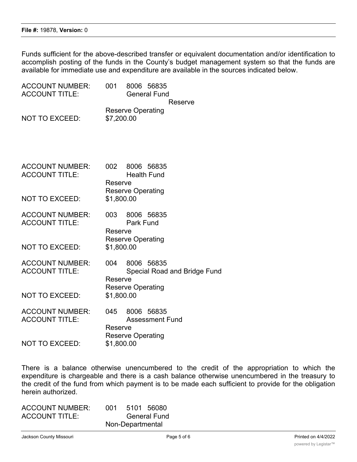Funds sufficient for the above-described transfer or equivalent documentation and/or identification to accomplish posting of the funds in the County's budget management system so that the funds are available for immediate use and expenditure are available in the sources indicated below.

| <b>ACCOUNT NUMBER:</b><br><b>ACCOUNT TITLE:</b>                          | 001                          | 8006 56835<br><b>General Fund</b>                                             |
|--------------------------------------------------------------------------|------------------------------|-------------------------------------------------------------------------------|
| <b>NOT TO EXCEED:</b>                                                    | \$7,200.00                   | Reserve<br><b>Reserve Operating</b>                                           |
| <b>ACCOUNT NUMBER:</b><br><b>ACCOUNT TITLE:</b>                          | 002<br>Reserve               | 8006 56835<br><b>Health Fund</b><br><b>Reserve Operating</b>                  |
| <b>NOT TO EXCEED:</b>                                                    | \$1,800.00                   |                                                                               |
| <b>ACCOUNT NUMBER:</b><br><b>ACCOUNT TITLE:</b><br><b>NOT TO EXCEED:</b> | 003<br>Reserve<br>\$1,800.00 | 8006 56835<br><b>Park Fund</b><br><b>Reserve Operating</b>                    |
| <b>ACCOUNT NUMBER:</b><br><b>ACCOUNT TITLE:</b><br><b>NOT TO EXCEED:</b> | 004<br>Reserve<br>\$1,800.00 | 8006 56835<br><b>Special Road and Bridge Fund</b><br><b>Reserve Operating</b> |
| <b>ACCOUNT NUMBER:</b><br><b>ACCOUNT TITLE:</b><br><b>NOT TO EXCEED:</b> | 045<br>Reserve<br>\$1,800.00 | 8006 56835<br><b>Assessment Fund</b><br><b>Reserve Operating</b>              |
|                                                                          |                              |                                                                               |

There is a balance otherwise unencumbered to the credit of the appropriation to which the expenditure is chargeable and there is a cash balance otherwise unencumbered in the treasury to the credit of the fund from which payment is to be made each sufficient to provide for the obligation herein authorized.

| <b>ACCOUNT NUMBER:</b> | 001 | 5101 56080          |  |
|------------------------|-----|---------------------|--|
| <b>ACCOUNT TITLE:</b>  |     | <b>General Fund</b> |  |
|                        |     | Non-Departmental    |  |